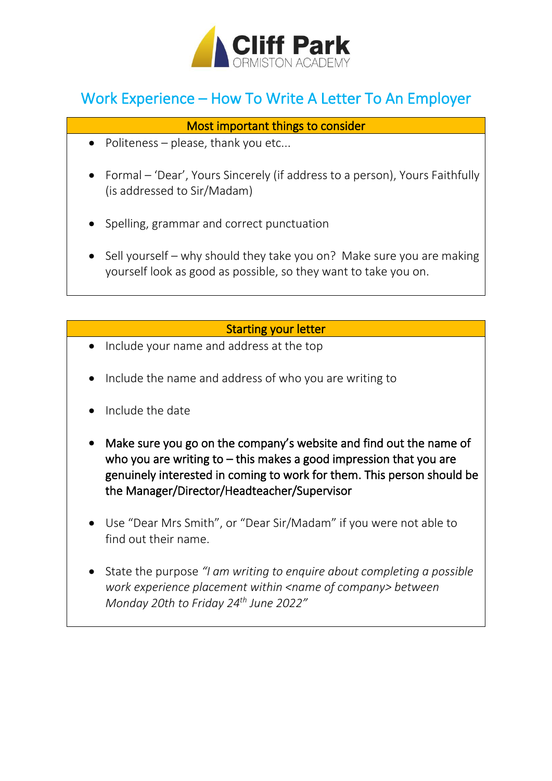

## Work Experience – How To Write A Letter To An Employer

## Most important things to consider

- Politeness please, thank you etc...
- Formal 'Dear', Yours Sincerely (if address to a person), Yours Faithfully (is addressed to Sir/Madam)
- Spelling, grammar and correct punctuation
- Sell yourself why should they take you on? Make sure you are making yourself look as good as possible, so they want to take you on.

## Starting your letter

- Include your name and address at the top
- Include the name and address of who you are writing to
- Include the date
- Make sure you go on the company's website and find out the name of who you are writing to  $-$  this makes a good impression that you are genuinely interested in coming to work for them. This person should be the Manager/Director/Headteacher/Supervisor
- Use "Dear Mrs Smith", or "Dear Sir/Madam" if you were not able to find out their name.
- State the purpose *"I am writing to enquire about completing a possible work experience placement within <name of company> between Monday 20th to Friday 24th June 2022"*